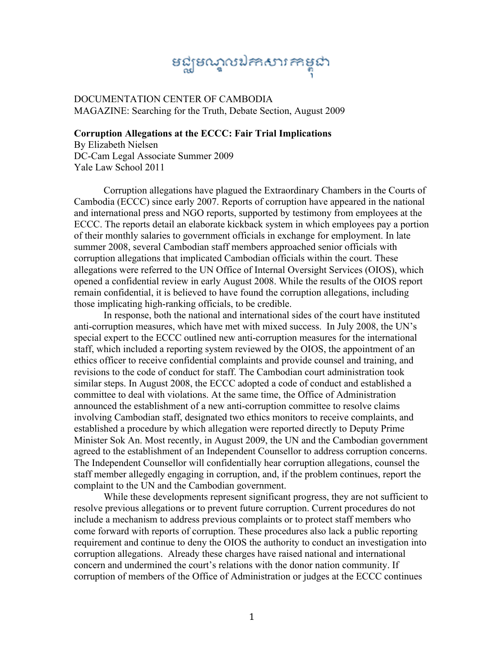## នជ្ឈមណ្ឌលឯកសារកាម្ពុជា

DOCUMENTATION CENTER OF CAMBODIA MAGAZINE: Searching for the Truth, Debate Section, August 2009

## **Corruption Allegations at the ECCC: Fair Trial Implications**

By Elizabeth Nielsen DC-Cam Legal Associate Summer 2009 Yale Law School 2011

 Corruption allegations have plagued the Extraordinary Chambers in the Courts of Cambodia (ECCC) since early 2007. Reports of corruption have appeared in the national and international press and NGO reports, supported by testimony from employees at the ECCC. The reports detail an elaborate kickback system in which employees pay a portion of their monthly salaries to government officials in exchange for employment. In late summer 2008, several Cambodian staff members approached senior officials with corruption allegations that implicated Cambodian officials within the court. These allegations were referred to the UN Office of Internal Oversight Services (OIOS), which opened a confidential review in early August 2008. While the results of the OIOS report remain confidential, it is believed to have found the corruption allegations, including those implicating high-ranking officials, to be credible.

 In response, both the national and international sides of the court have instituted anti-corruption measures, which have met with mixed success. In July 2008, the UN's special expert to the ECCC outlined new anti-corruption measures for the international staff, which included a reporting system reviewed by the OIOS, the appointment of an ethics officer to receive confidential complaints and provide counsel and training, and revisions to the code of conduct for staff. The Cambodian court administration took similar steps. In August 2008, the ECCC adopted a code of conduct and established a committee to deal with violations. At the same time, the Office of Administration announced the establishment of a new anti-corruption committee to resolve claims involving Cambodian staff, designated two ethics monitors to receive complaints, and established a procedure by which allegation were reported directly to Deputy Prime Minister Sok An. Most recently, in August 2009, the UN and the Cambodian government agreed to the establishment of an Independent Counsellor to address corruption concerns. The Independent Counsellor will confidentially hear corruption allegations, counsel the staff member allegedly engaging in corruption, and, if the problem continues, report the complaint to the UN and the Cambodian government.

 While these developments represent significant progress, they are not sufficient to resolve previous allegations or to prevent future corruption. Current procedures do not include a mechanism to address previous complaints or to protect staff members who come forward with reports of corruption. These procedures also lack a public reporting requirement and continue to deny the OIOS the authority to conduct an investigation into corruption allegations. Already these charges have raised national and international concern and undermined the court's relations with the donor nation community. If corruption of members of the Office of Administration or judges at the ECCC continues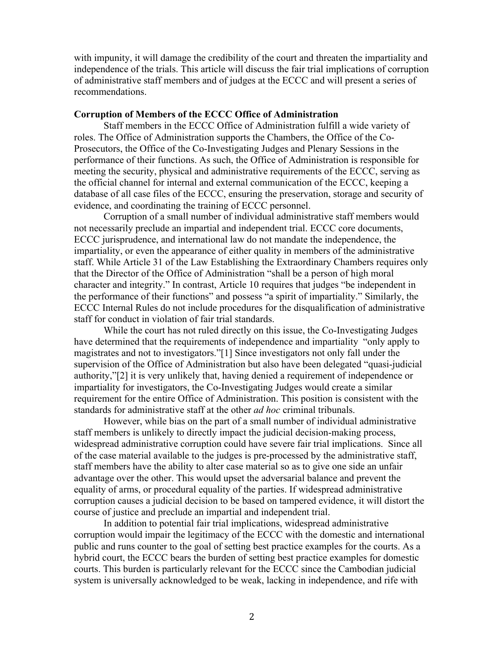with impunity, it will damage the credibility of the court and threaten the impartiality and independence of the trials. This article will discuss the fair trial implications of corruption of administrative staff members and of judges at the ECCC and will present a series of recommendations.

## **Corruption of Members of the ECCC Office of Administration**

 Staff members in the ECCC Office of Administration fulfill a wide variety of roles. The Office of Administration supports the Chambers, the Office of the Co-Prosecutors, the Office of the Co-Investigating Judges and Plenary Sessions in the performance of their functions. As such, the Office of Administration is responsible for meeting the security, physical and administrative requirements of the ECCC, serving as the official channel for internal and external communication of the ECCC, keeping a database of all case files of the ECCC, ensuring the preservation, storage and security of evidence, and coordinating the training of ECCC personnel.

 Corruption of a small number of individual administrative staff members would not necessarily preclude an impartial and independent trial. ECCC core documents, ECCC jurisprudence, and international law do not mandate the independence, the impartiality, or even the appearance of either quality in members of the administrative staff. While Article 31 of the Law Establishing the Extraordinary Chambers requires only that the Director of the Office of Administration "shall be a person of high moral character and integrity." In contrast, Article 10 requires that judges "be independent in the performance of their functions" and possess "a spirit of impartiality." Similarly, the ECCC Internal Rules do not include procedures for the disqualification of administrative staff for conduct in violation of fair trial standards.

 While the court has not ruled directly on this issue, the Co-Investigating Judges have determined that the requirements of independence and impartiality "only apply to magistrates and not to investigators."[1] Since investigators not only fall under the supervision of the Office of Administration but also have been delegated "quasi-judicial authority,"[2] it is very unlikely that, having denied a requirement of independence or impartiality for investigators, the Co-Investigating Judges would create a similar requirement for the entire Office of Administration. This position is consistent with the standards for administrative staff at the other *ad hoc* criminal tribunals.

 However, while bias on the part of a small number of individual administrative staff members is unlikely to directly impact the judicial decision-making process, widespread administrative corruption could have severe fair trial implications. Since all of the case material available to the judges is pre-processed by the administrative staff, staff members have the ability to alter case material so as to give one side an unfair advantage over the other. This would upset the adversarial balance and prevent the equality of arms, or procedural equality of the parties. If widespread administrative corruption causes a judicial decision to be based on tampered evidence, it will distort the course of justice and preclude an impartial and independent trial.

 In addition to potential fair trial implications, widespread administrative corruption would impair the legitimacy of the ECCC with the domestic and international public and runs counter to the goal of setting best practice examples for the courts. As a hybrid court, the ECCC bears the burden of setting best practice examples for domestic courts. This burden is particularly relevant for the ECCC since the Cambodian judicial system is universally acknowledged to be weak, lacking in independence, and rife with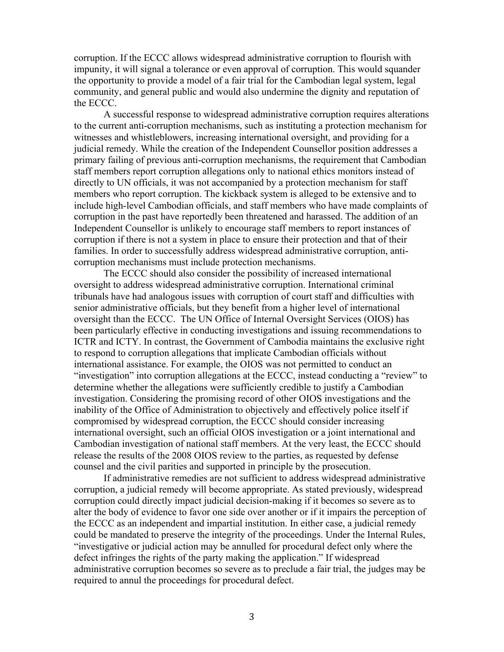corruption. If the ECCC allows widespread administrative corruption to flourish with impunity, it will signal a tolerance or even approval of corruption. This would squander the opportunity to provide a model of a fair trial for the Cambodian legal system, legal community, and general public and would also undermine the dignity and reputation of the ECCC.

 A successful response to widespread administrative corruption requires alterations to the current anti-corruption mechanisms, such as instituting a protection mechanism for witnesses and whistleblowers, increasing international oversight, and providing for a judicial remedy. While the creation of the Independent Counsellor position addresses a primary failing of previous anti-corruption mechanisms, the requirement that Cambodian staff members report corruption allegations only to national ethics monitors instead of directly to UN officials, it was not accompanied by a protection mechanism for staff members who report corruption. The kickback system is alleged to be extensive and to include high-level Cambodian officials, and staff members who have made complaints of corruption in the past have reportedly been threatened and harassed. The addition of an Independent Counsellor is unlikely to encourage staff members to report instances of corruption if there is not a system in place to ensure their protection and that of their families. In order to successfully address widespread administrative corruption, anticorruption mechanisms must include protection mechanisms.

 The ECCC should also consider the possibility of increased international oversight to address widespread administrative corruption. International criminal tribunals have had analogous issues with corruption of court staff and difficulties with senior administrative officials, but they benefit from a higher level of international oversight than the ECCC. The UN Office of Internal Oversight Services (OIOS) has been particularly effective in conducting investigations and issuing recommendations to ICTR and ICTY. In contrast, the Government of Cambodia maintains the exclusive right to respond to corruption allegations that implicate Cambodian officials without international assistance. For example, the OIOS was not permitted to conduct an "investigation" into corruption allegations at the ECCC, instead conducting a "review" to determine whether the allegations were sufficiently credible to justify a Cambodian investigation. Considering the promising record of other OIOS investigations and the inability of the Office of Administration to objectively and effectively police itself if compromised by widespread corruption, the ECCC should consider increasing international oversight, such an official OIOS investigation or a joint international and Cambodian investigation of national staff members. At the very least, the ECCC should release the results of the 2008 OIOS review to the parties, as requested by defense counsel and the civil parities and supported in principle by the prosecution.

 If administrative remedies are not sufficient to address widespread administrative corruption, a judicial remedy will become appropriate. As stated previously, widespread corruption could directly impact judicial decision-making if it becomes so severe as to alter the body of evidence to favor one side over another or if it impairs the perception of the ECCC as an independent and impartial institution. In either case, a judicial remedy could be mandated to preserve the integrity of the proceedings. Under the Internal Rules, "investigative or judicial action may be annulled for procedural defect only where the defect infringes the rights of the party making the application." If widespread administrative corruption becomes so severe as to preclude a fair trial, the judges may be required to annul the proceedings for procedural defect.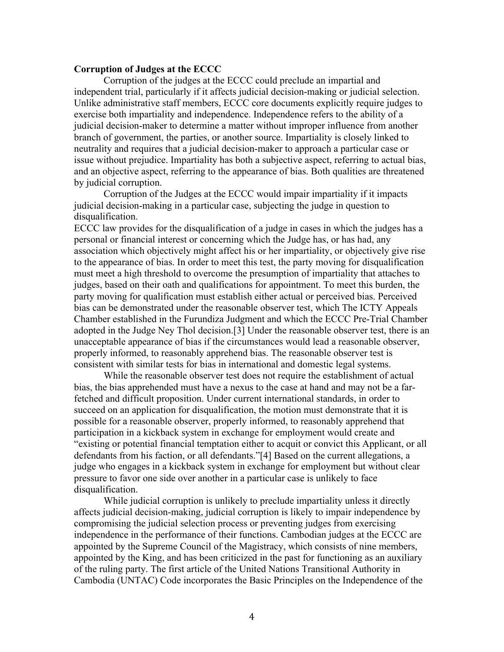## **Corruption of Judges at the ECCC**

 Corruption of the judges at the ECCC could preclude an impartial and independent trial, particularly if it affects judicial decision-making or judicial selection. Unlike administrative staff members, ECCC core documents explicitly require judges to exercise both impartiality and independence. Independence refers to the ability of a judicial decision-maker to determine a matter without improper influence from another branch of government, the parties, or another source. Impartiality is closely linked to neutrality and requires that a judicial decision-maker to approach a particular case or issue without prejudice. Impartiality has both a subjective aspect, referring to actual bias, and an objective aspect, referring to the appearance of bias. Both qualities are threatened by judicial corruption.

 Corruption of the Judges at the ECCC would impair impartiality if it impacts judicial decision-making in a particular case, subjecting the judge in question to disqualification.

ECCC law provides for the disqualification of a judge in cases in which the judges has a personal or financial interest or concerning which the Judge has, or has had, any association which objectively might affect his or her impartiality, or objectively give rise to the appearance of bias. In order to meet this test, the party moving for disqualification must meet a high threshold to overcome the presumption of impartiality that attaches to judges, based on their oath and qualifications for appointment. To meet this burden, the party moving for qualification must establish either actual or perceived bias. Perceived bias can be demonstrated under the reasonable observer test, which The ICTY Appeals Chamber established in the Furundiza Judgment and which the ECCC Pre-Trial Chamber adopted in the Judge Ney Thol decision.[3] Under the reasonable observer test, there is an unacceptable appearance of bias if the circumstances would lead a reasonable observer, properly informed, to reasonably apprehend bias. The reasonable observer test is consistent with similar tests for bias in international and domestic legal systems.

 While the reasonable observer test does not require the establishment of actual bias, the bias apprehended must have a nexus to the case at hand and may not be a farfetched and difficult proposition. Under current international standards, in order to succeed on an application for disqualification, the motion must demonstrate that it is possible for a reasonable observer, properly informed, to reasonably apprehend that participation in a kickback system in exchange for employment would create and "existing or potential financial temptation either to acquit or convict this Applicant, or all defendants from his faction, or all defendants."[4] Based on the current allegations, a judge who engages in a kickback system in exchange for employment but without clear pressure to favor one side over another in a particular case is unlikely to face disqualification.

While judicial corruption is unlikely to preclude impartiality unless it directly affects judicial decision-making, judicial corruption is likely to impair independence by compromising the judicial selection process or preventing judges from exercising independence in the performance of their functions. Cambodian judges at the ECCC are appointed by the Supreme Council of the Magistracy, which consists of nine members, appointed by the King, and has been criticized in the past for functioning as an auxiliary of the ruling party. The first article of the United Nations Transitional Authority in Cambodia (UNTAC) Code incorporates the Basic Principles on the Independence of the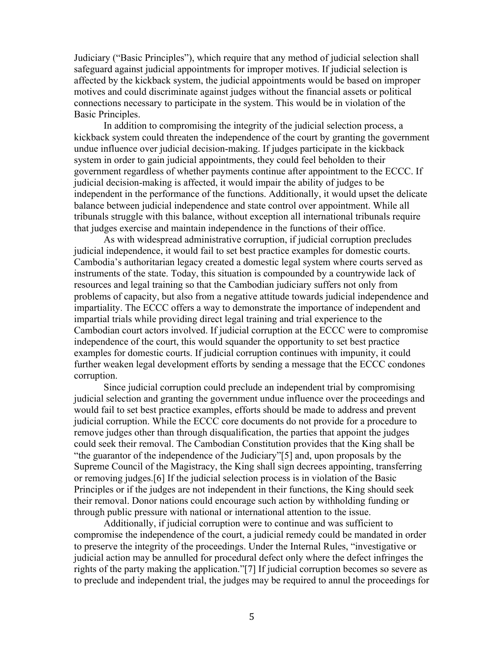Judiciary ("Basic Principles"), which require that any method of judicial selection shall safeguard against judicial appointments for improper motives. If judicial selection is affected by the kickback system, the judicial appointments would be based on improper motives and could discriminate against judges without the financial assets or political connections necessary to participate in the system. This would be in violation of the Basic Principles.

 In addition to compromising the integrity of the judicial selection process, a kickback system could threaten the independence of the court by granting the government undue influence over judicial decision-making. If judges participate in the kickback system in order to gain judicial appointments, they could feel beholden to their government regardless of whether payments continue after appointment to the ECCC. If judicial decision-making is affected, it would impair the ability of judges to be independent in the performance of the functions. Additionally, it would upset the delicate balance between judicial independence and state control over appointment. While all tribunals struggle with this balance, without exception all international tribunals require that judges exercise and maintain independence in the functions of their office.

 As with widespread administrative corruption, if judicial corruption precludes judicial independence, it would fail to set best practice examples for domestic courts. Cambodia's authoritarian legacy created a domestic legal system where courts served as instruments of the state. Today, this situation is compounded by a countrywide lack of resources and legal training so that the Cambodian judiciary suffers not only from problems of capacity, but also from a negative attitude towards judicial independence and impartiality. The ECCC offers a way to demonstrate the importance of independent and impartial trials while providing direct legal training and trial experience to the Cambodian court actors involved. If judicial corruption at the ECCC were to compromise independence of the court, this would squander the opportunity to set best practice examples for domestic courts. If judicial corruption continues with impunity, it could further weaken legal development efforts by sending a message that the ECCC condones corruption.

 Since judicial corruption could preclude an independent trial by compromising judicial selection and granting the government undue influence over the proceedings and would fail to set best practice examples, efforts should be made to address and prevent judicial corruption. While the ECCC core documents do not provide for a procedure to remove judges other than through disqualification, the parties that appoint the judges could seek their removal. The Cambodian Constitution provides that the King shall be "the guarantor of the independence of the Judiciary"[5] and, upon proposals by the Supreme Council of the Magistracy, the King shall sign decrees appointing, transferring or removing judges.[6] If the judicial selection process is in violation of the Basic Principles or if the judges are not independent in their functions, the King should seek their removal. Donor nations could encourage such action by withholding funding or through public pressure with national or international attention to the issue.

 Additionally, if judicial corruption were to continue and was sufficient to compromise the independence of the court, a judicial remedy could be mandated in order to preserve the integrity of the proceedings. Under the Internal Rules, "investigative or judicial action may be annulled for procedural defect only where the defect infringes the rights of the party making the application."[7] If judicial corruption becomes so severe as to preclude and independent trial, the judges may be required to annul the proceedings for